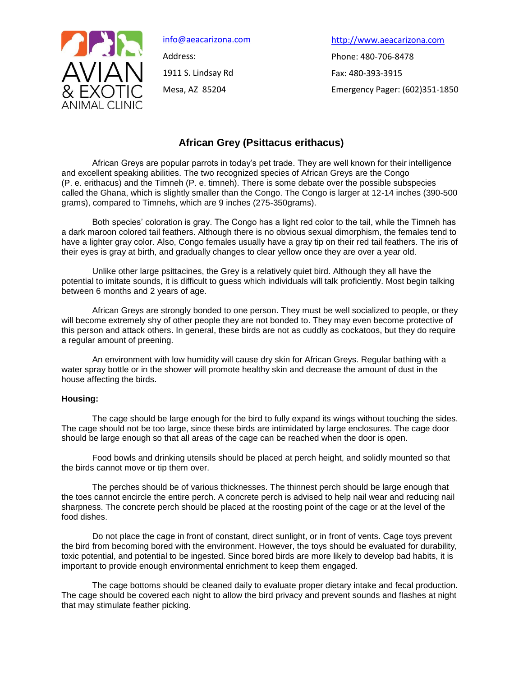

[info@aeacarizona.com](mailto:info@aeacarizona.com) Address: 1911 S. Lindsay Rd Mesa, AZ 85204

[http://www.aeacarizona.com](mailto:info@aeacarizona.com) Phone: 480-706-8478 Fax: 480-393-3915 Emergency Pager: (602)351-1850

# **African Grey (Psittacus erithacus)**

African Greys are popular parrots in today's pet trade. They are well known for their intelligence and excellent speaking abilities. The two recognized species of African Greys are the Congo (P. e. erithacus) and the Timneh (P. e. timneh). There is some debate over the possible subspecies called the Ghana, which is slightly smaller than the Congo. The Congo is larger at 12-14 inches (390-500 grams), compared to Timnehs, which are 9 inches (275-350grams).

Both species' coloration is gray. The Congo has a light red color to the tail, while the Timneh has a dark maroon colored tail feathers. Although there is no obvious sexual dimorphism, the females tend to have a lighter gray color. Also, Congo females usually have a gray tip on their red tail feathers. The iris of their eyes is gray at birth, and gradually changes to clear yellow once they are over a year old.

Unlike other large psittacines, the Grey is a relatively quiet bird. Although they all have the potential to imitate sounds, it is difficult to guess which individuals will talk proficiently. Most begin talking between 6 months and 2 years of age.

African Greys are strongly bonded to one person. They must be well socialized to people, or they will become extremely shy of other people they are not bonded to. They may even become protective of this person and attack others. In general, these birds are not as cuddly as cockatoos, but they do require a regular amount of preening.

An environment with low humidity will cause dry skin for African Greys. Regular bathing with a water spray bottle or in the shower will promote healthy skin and decrease the amount of dust in the house affecting the birds.

# **Housing:**

The cage should be large enough for the bird to fully expand its wings without touching the sides. The cage should not be too large, since these birds are intimidated by large enclosures. The cage door should be large enough so that all areas of the cage can be reached when the door is open.

Food bowls and drinking utensils should be placed at perch height, and solidly mounted so that the birds cannot move or tip them over.

The perches should be of various thicknesses. The thinnest perch should be large enough that the toes cannot encircle the entire perch. A concrete perch is advised to help nail wear and reducing nail sharpness. The concrete perch should be placed at the roosting point of the cage or at the level of the food dishes.

Do not place the cage in front of constant, direct sunlight, or in front of vents. Cage toys prevent the bird from becoming bored with the environment. However, the toys should be evaluated for durability, toxic potential, and potential to be ingested. Since bored birds are more likely to develop bad habits, it is important to provide enough environmental enrichment to keep them engaged.

The cage bottoms should be cleaned daily to evaluate proper dietary intake and fecal production. The cage should be covered each night to allow the bird privacy and prevent sounds and flashes at night that may stimulate feather picking.